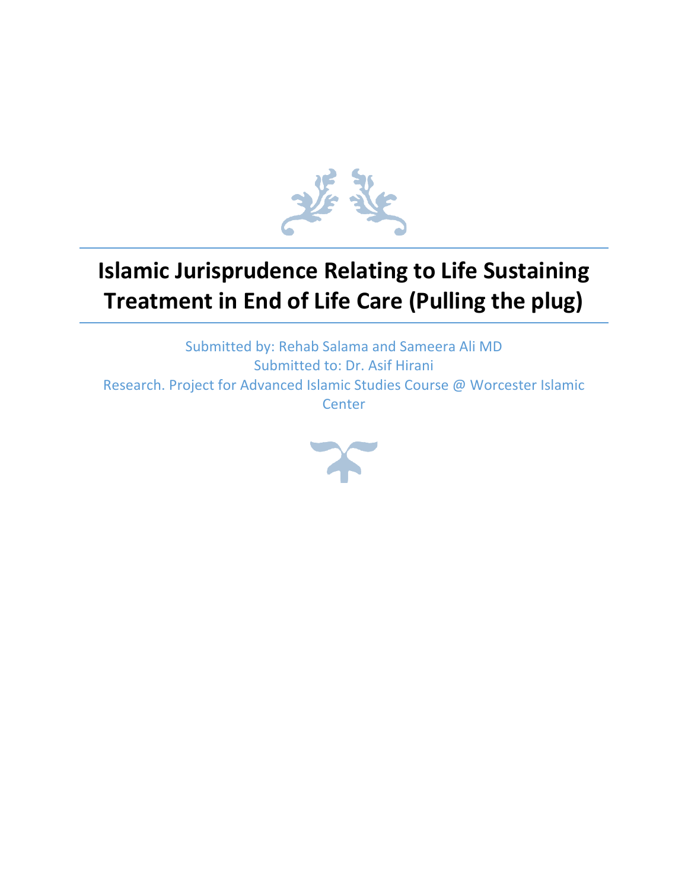

# **Islamic Jurisprudence Relating to Life Sustaining Treatment in End of Life Care (Pulling the plug)**

Submitted by: Rehab Salama and Sameera Ali MD Submitted to: Dr. Asif Hirani Research. Project for Advanced Islamic Studies Course @ Worcester Islamic **Center** 

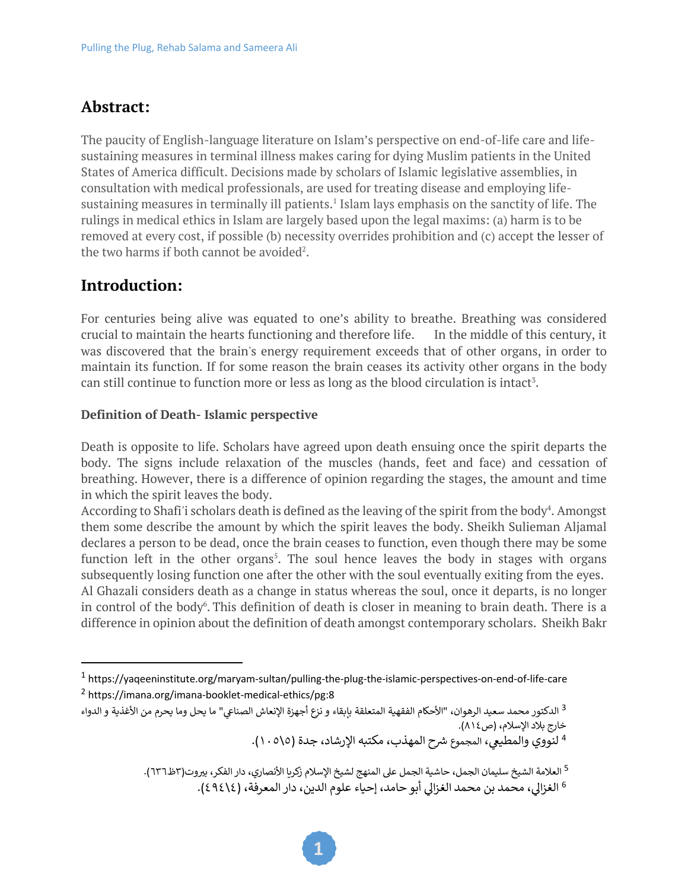# **Abstract:**

The paucity of English-language literature on Islam's perspective on end-of-life care and lifesustaining measures in terminal illness makes caring for dying Muslim patients in the United States of America difficult. Decisions made by scholars of Islamic legislative assemblies, in consultation with medical professionals, are used for treating disease and employing lifesustaining measures in terminally ill patients.<sup>1</sup> Islam lays emphasis on the sanctity of life. The rulings in medical ethics in Islam are largely based upon the legal maxims: (a) harm is to be removed at every cost, if possible (b) necessity overrides prohibition and (c) accept the lesser of the two harms if both cannot be avoided<sup>2</sup>.

# **Introduction:**

For centuries being alive was equated to one's ability to breathe. Breathing was considered crucial to maintain the hearts functioning and therefore life. In the middle of this century, it was discovered that the brain's energy requirement exceeds that of other organs, in order to maintain its function. If for some reason the brain ceases its activity other organs in the body can still continue to function more or less as long as the blood circulation is intact<sup>3</sup>.

## **Definition of Death- Islamic perspective**

Death is opposite to life. Scholars have agreed upon death ensuing once the spirit departs the body. The signs include relaxation of the muscles (hands, feet and face) and cessation of breathing. However, there is a difference of opinion regarding the stages, the amount and time in which the spirit leaves the body.

According to Shafi'i scholars death is defined as the leaving of the spirit from the body<sup>4</sup>. Amongst them some describe the amount by which the spirit leaves the body. Sheikh Sulieman Aljamal declares a person to be dead, once the brain ceases to function, even though there may be some function left in the other organs<sup>5</sup>. The soul hence leaves the body in stages with organs subsequently losing function one after the other with the soul eventually exiting from the eyes. Al Ghazali considers death as a change in status whereas the soul, once it departs, is no longer in control of the body<sup>6</sup>. This definition of death is closer in meaning to brain death. There is a difference in opinion about the definition of death amongst contemporary scholars. Sheikh Bakr

<sup>1</sup> https://yaqeeninstitute.org/maryam-sultan/pulling-the-plug-the-islamic-perspectives-on-end-of-life-care <sup>2</sup> https://imana.org/imana-booklet-medical-ethics/pg:8

الدكتور محمد سعيد الرهوان، "الأحكام الفقهية المتعلقة بإبقاء و نزع أجهزة الإنعاش الصناعي" ما يحل وما يحرم من الأغذية و الدواء  $^3$ خارج بلاد الإسلام، (ص١٤).

<sup>&</sup>lt;sup>4</sup> لنووي والمطيعي، المجموع شرح المهذب، مكتبه الإرشاد، جدة (٥\٥ . ١).

<sup>5</sup> العلامة الشيخ سليمان الجمل، حاشية الجمل على المنهج لشيخ الإسلام زكريا الأنصاري، دار الفكر، بيروت(٣ظ٦٣٦).

<sup>&</sup>lt;sup>6</sup> الغزالي، محمد بن محمد الغزالي أبو حامد، إحياء علوم الدين، دار المعرفة، (٤٩٤١٤).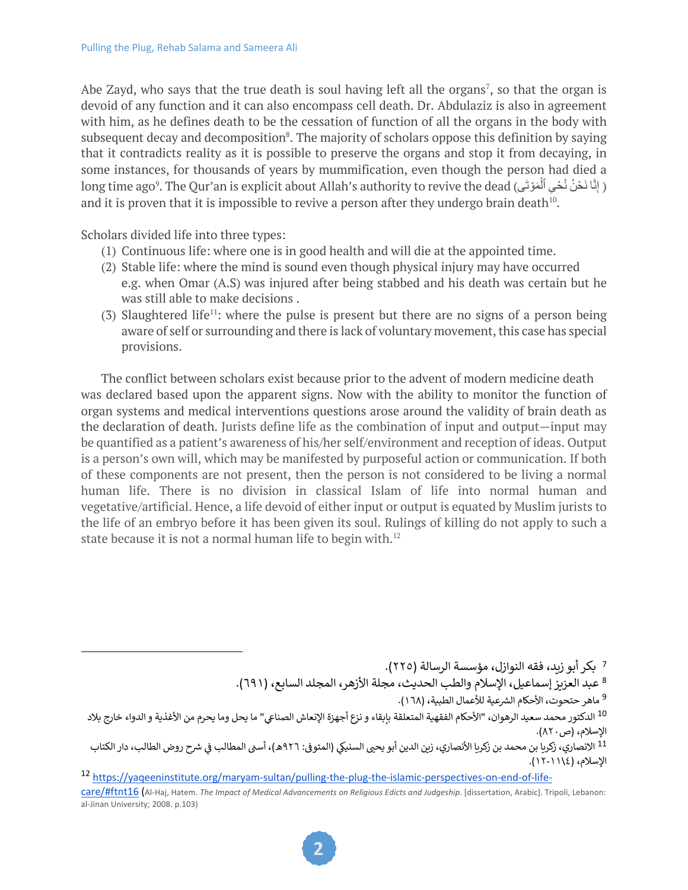Abe Zayd, who says that the true death is soul having left all the organs<sup>7</sup>, so that the organ is devoid of any function and it can also encompass cell death. Dr. Abdulaziz is also in agreement with him, as he defines death to be the cessation of function of all the organs in the body with subsequent decay and decomposition<sup>8</sup>. The majority of scholars oppose this definition by saying that it contradicts reality as it is possible to preserve the organs and stop it from decaying, in some instances, for thousands of years by mummification, even though the person had died a long time ago $^9$ . The Qur'an is explicit about Allah's authority to revive the dead (إِنَّا نَحْنُ نُحْىِ ٱلْمَوْتَى and it is proven that it is impossible to revive a person after they undergo brain death<sup>10</sup>.

Scholars divided life into three types:

- (1) Continuous life: where one is in good health and will die at the appointed time.
- (2) Stable life: where the mind is sound even though physical injury may have occurred e.g. when Omar (A.S) was injured after being stabbed and his death was certain but he was still able to make decisions .
- (3) Slaughtered life<sup>11</sup>: where the pulse is present but there are no signs of a person being aware of self or surrounding and there is lack of voluntary movement, this case has special provisions.

The conflict between scholars exist because prior to the advent of modern medicine death was declared based upon the apparent signs. Now with the ability to monitor the function of organ systems and medical interventions questions arose around the validity of brain death as the declaration of death. Jurists define life as the combination of input and output—input may be quantified as a patient's awareness of his/her self/environment and reception of ideas. Output is a person's own will, which may be manifested by purposeful action or communication. If both of these components are not present, then the person is not considered to be living a normal human life. There is no division in classical Islam of life into normal human and vegetative/artificial. Hence, a life devoid of either input or output is equated by Muslim jurists to the life of an embryo before it has been given its soul. Rulings of killing do not apply to such a state because it is not a normal human life to begin with.<sup>12</sup>

> 7 بكر أبو زيد، فقه النوازل، مؤسسة الرسالة (٢٢٥). <sup>8</sup> عبد العزيز إسماعيل، الإسلام والطب الحديث، مجلة الأزهر، المجلد السابع، (٦٩١).

<sup>9</sup> ماهر حتحوت، الأحكام الشرعية للأعمال الطبية، (١٦٨).

<sup>&</sup>lt;sup>10</sup> الدكتور محمد سعيد الرهوان، "الأحكام الفقهية المتعلقة بإبقاء و نزع أجهزة الإنعاش الصناعي" ما يحل وما يحرم من الأغذية و الدواء خارج بلاد الإسلام، (ص٨٢٠).

<sup>.&</sup>lt;br><sup>11</sup> الانصاري، زكريا بن محمد بن زكريا الأنصاري، زين الدين أبو يح<sub>ك</sub> السنيكي (المتوفى: ٩٢٦هـ)، أسنى المطالب في شرح روض الطالب، دار الكتاب الإسلام، (١١١٤-١١).

<sup>12</sup> https://yaqeeninstitute.org/maryam-sultan/pulling-the-plug-the-islamic-perspectives-on-end-of-life-

care/#ftnt16 (Al-Haj, Hatem. *The Impact of Medical Advancements on Religious Edicts and Judgeship*. [dissertation, Arabic]. Tripoli, Lebanon: al-Jinan University; 2008. p.103)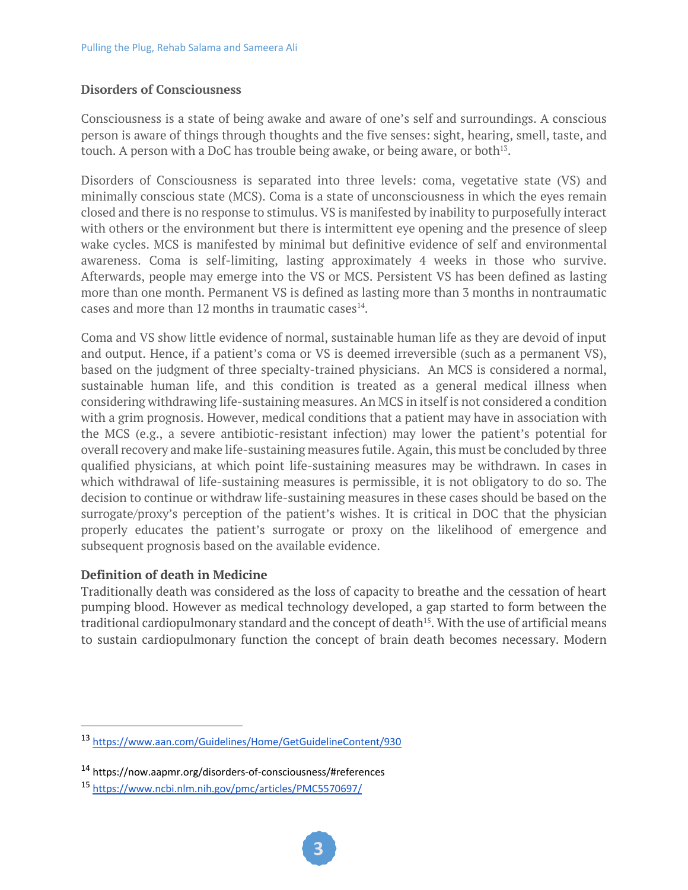## **Disorders of Consciousness**

Consciousness is a state of being awake and aware of one's self and surroundings. A conscious person is aware of things through thoughts and the five senses: sight, hearing, smell, taste, and touch. A person with a DoC has trouble being awake, or being aware, or both13.

Disorders of Consciousness is separated into three levels: coma, vegetative state (VS) and minimally conscious state (MCS). Coma is a state of unconsciousness in which the eyes remain closed and there is no response to stimulus. VS is manifested by inability to purposefully interact with others or the environment but there is intermittent eye opening and the presence of sleep wake cycles. MCS is manifested by minimal but definitive evidence of self and environmental awareness. Coma is self-limiting, lasting approximately 4 weeks in those who survive. Afterwards, people may emerge into the VS or MCS. Persistent VS has been defined as lasting more than one month. Permanent VS is defined as lasting more than 3 months in nontraumatic cases and more than 12 months in traumatic cases $^{14}$ .

Coma and VS show little evidence of normal, sustainable human life as they are devoid of input and output. Hence, if a patient's coma or VS is deemed irreversible (such as a permanent VS), based on the judgment of three specialty-trained physicians. An MCS is considered a normal, sustainable human life, and this condition is treated as a general medical illness when considering withdrawing life-sustaining measures. An MCS in itself is not considered a condition with a grim prognosis. However, medical conditions that a patient may have in association with the MCS (e.g., a severe antibiotic-resistant infection) may lower the patient's potential for overall recovery and make life-sustaining measures futile. Again, this must be concluded by three qualified physicians, at which point life-sustaining measures may be withdrawn. In cases in which withdrawal of life-sustaining measures is permissible, it is not obligatory to do so. The decision to continue or withdraw life-sustaining measures in these cases should be based on the surrogate/proxy's perception of the patient's wishes. It is critical in DOC that the physician properly educates the patient's surrogate or proxy on the likelihood of emergence and subsequent prognosis based on the available evidence.

#### **Definition of death in Medicine**

Traditionally death was considered as the loss of capacity to breathe and the cessation of heart pumping blood. However as medical technology developed, a gap started to form between the traditional cardiopulmonary standard and the concept of death<sup>15</sup>. With the use of artificial means to sustain cardiopulmonary function the concept of brain death becomes necessary. Modern

<sup>13</sup> https://www.aan.com/Guidelines/Home/GetGuidelineContent/930

<sup>14</sup> https://now.aapmr.org/disorders-of-consciousness/#references

<sup>15</sup> https://www.ncbi.nlm.nih.gov/pmc/articles/PMC5570697/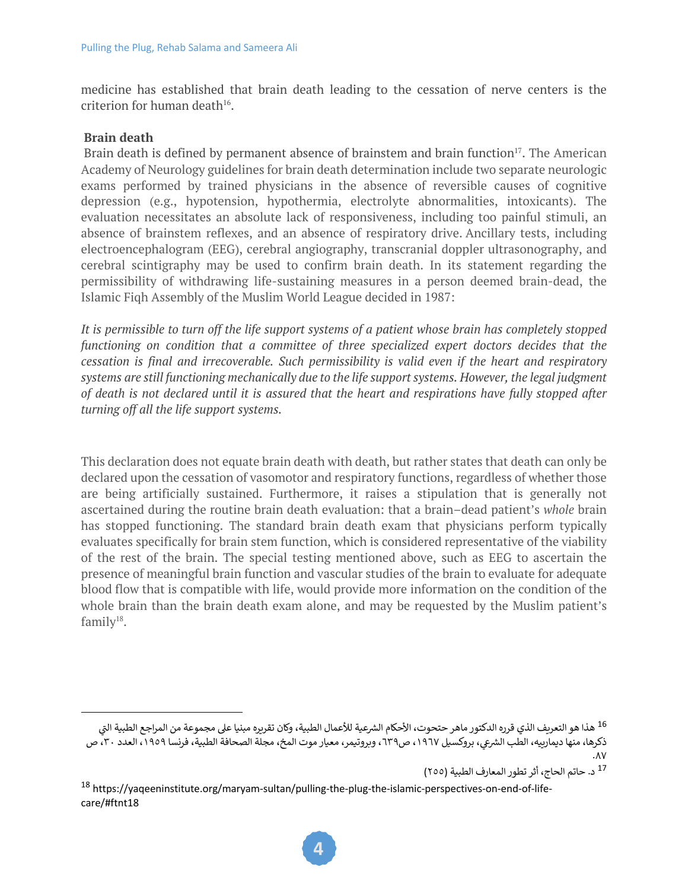medicine has established that brain death leading to the cessation of nerve centers is the criterion for human death $16$ .

#### **Brain death**

Brain death is defined by permanent absence of brainstem and brain function<sup>17</sup>. The American Academy of Neurology guidelines for brain death determination include two separate neurologic exams performed by trained physicians in the absence of reversible causes of cognitive depression (e.g., hypotension, hypothermia, electrolyte abnormalities, intoxicants). The evaluation necessitates an absolute lack of responsiveness, including too painful stimuli, an absence of brainstem reflexes, and an absence of respiratory drive. Ancillary tests, including electroencephalogram (EEG), cerebral angiography, transcranial doppler ultrasonography, and cerebral scintigraphy may be used to confirm brain death. In its statement regarding the permissibility of withdrawing life-sustaining measures in a person deemed brain-dead, the Islamic Fiqh Assembly of the Muslim World League decided in 1987:

*It is permissible to turn off the life support systems of a patient whose brain has completely stopped functioning on condition that a committee of three specialized expert doctors decides that the cessation is final and irrecoverable. Such permissibility is valid even if the heart and respiratory systems are still functioning mechanically due to the life support systems. However, the legal judgment of death is not declared until it is assured that the heart and respirations have fully stopped after turning off all the life support systems.*

This declaration does not equate brain death with death, but rather states that death can only be declared upon the cessation of vasomotor and respiratory functions, regardless of whether those are being artificially sustained. Furthermore, it raises a stipulation that is generally not ascertained during the routine brain death evaluation: that a brain–dead patient's *whole* brain has stopped functioning. The standard brain death exam that physicians perform typically evaluates specifically for brain stem function, which is considered representative of the viability of the rest of the brain. The special testing mentioned above, such as EEG to ascertain the presence of meaningful brain function and vascular studies of the brain to evaluate for adequate blood flow that is compatible with life, would provide more information on the condition of the whole brain than the brain death exam alone, and may be requested by the Muslim patient's  $family<sup>18</sup>$ .

<sup>&</sup>lt;sup>16</sup> هذا هو التعريف الذي قرره الدكتور ماهر حتحوت، الأحكام الشرعية للأعمال الطبية، وكان تقريره مبنيا على مجموعة من المراجع الطبية التى ×~- هدا هو التعريف الذي فرره الدختور ماهر حتحوت، الاحكم الشرعيه للاعمال الطبيه، وكان نفريره مبنيا على مجموعه من المراجع الطبيه التي<br>ذكرها، منها ديمارييه، الطب الشرعي، بروكسيل ١٩٦٧، ص٦٣٩، وبروتيمر، معيار موت المخ، مجلة الصح .٨٧

<sup>17</sup> د. حاتم الحاج، أثر تطور المعارف الطبية (٢٥٥)

<sup>18</sup> https://yaqeeninstitute.org/maryam-sultan/pulling-the-plug-the-islamic-perspectives-on-end-of-lifecare/#ftnt18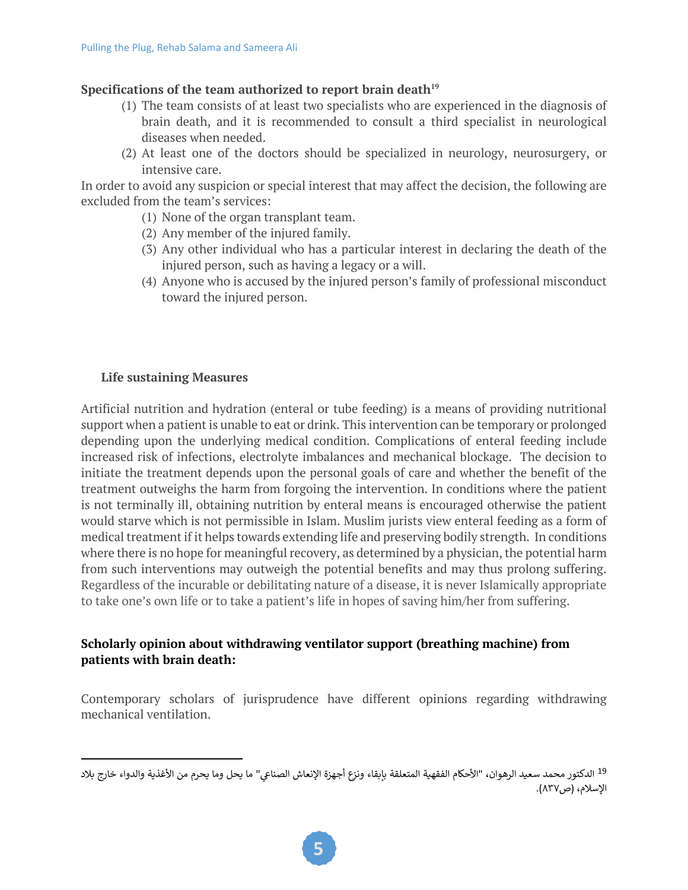#### Specifications of the team authorized to report brain death<sup>19</sup>

- (1) The team consists of at least two specialists who are experienced in the diagnosis of brain death, and it is recommended to consult a third specialist in neurological diseases when needed.
- (2) At least one of the doctors should be specialized in neurology, neurosurgery, or intensive care.

In order to avoid any suspicion or special interest that may affect the decision, the following are excluded from the team's services:

- (1) None of the organ transplant team.
- (2) Any member of the injured family.
- (3) Any other individual who has a particular interest in declaring the death of the injured person, such as having a legacy or a will.
- (4) Anyone who is accused by the injured person's family of professional misconduct toward the injured person.

#### **Life sustaining Measures**

Artificial nutrition and hydration (enteral or tube feeding) is a means of providing nutritional support when a patient is unable to eat or drink. This intervention can be temporary or prolonged depending upon the underlying medical condition. Complications of enteral feeding include increased risk of infections, electrolyte imbalances and mechanical blockage. The decision to initiate the treatment depends upon the personal goals of care and whether the benefit of the treatment outweighs the harm from forgoing the intervention. In conditions where the patient is not terminally ill, obtaining nutrition by enteral means is encouraged otherwise the patient would starve which is not permissible in Islam. Muslim jurists view enteral feeding as a form of medical treatment if it helps towards extending life and preserving bodily strength. In conditions where there is no hope for meaningful recovery, as determined by a physician, the potential harm from such interventions may outweigh the potential benefits and may thus prolong suffering. Regardless of the incurable or debilitating nature of a disease, it is never Islamically appropriate to take one's own life or to take a patient's life in hopes of saving him/her from suffering.

# **Scholarly opinion about withdrawing ventilator support (breathing machine) from patients with brain death:**

Contemporary scholars of jurisprudence have different opinions regarding withdrawing mechanical ventilation.

<sup>&</sup>lt;sup>19</sup> الدكتور محمد سعيد الرهوان، "الأحكام الفقهية المتعلقة بإبقاء ونزع أجهزة الإنعاش الصناعي" ما يحل وما يحرم من الأغذية والدواء خارج بلاد الإسلام، (ص٨٣٧).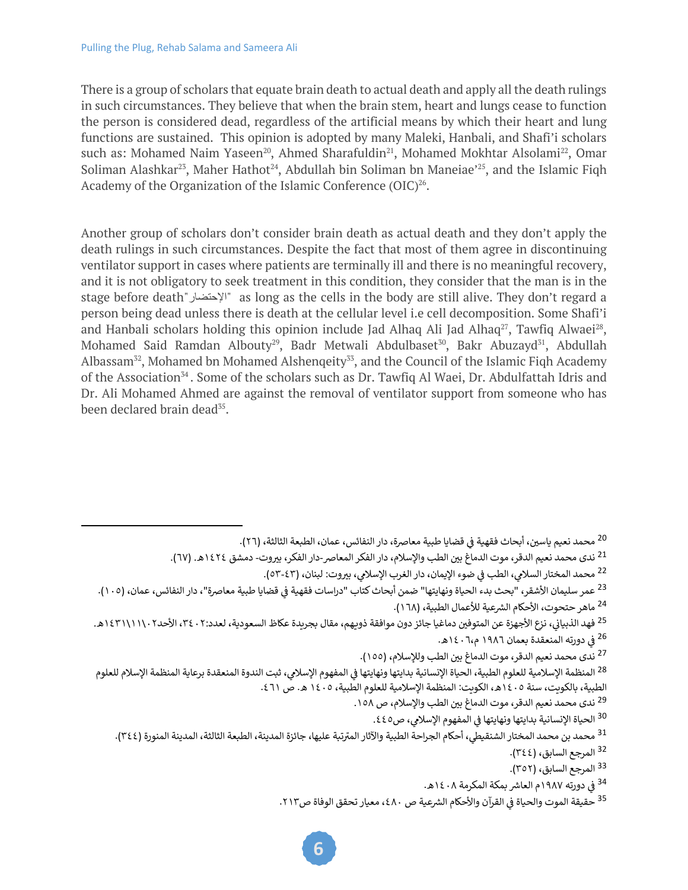There is a group of scholars that equate brain death to actual death and apply all the death rulings in such circumstances. They believe that when the brain stem, heart and lungs cease to function the person is considered dead, regardless of the artificial means by which their heart and lung functions are sustained. This opinion is adopted by many Maleki, Hanbali, and Shafi'i scholars such as: Mohamed Naim Yaseen<sup>20</sup>, Ahmed Sharafuldin<sup>21</sup>, Mohamed Mokhtar Alsolami<sup>22</sup>, Omar Soliman Alashkar<sup>23</sup>, Maher Hathot<sup>24</sup>, Abdullah bin Soliman bn Maneiae<sup>225</sup>, and the Islamic Figh Academy of the Organization of the Islamic Conference (OIC)<sup>26</sup>.

Another group of scholars don't consider brain death as actual death and they don't apply the death rulings in such circumstances. Despite the fact that most of them agree in discontinuing ventilator support in cases where patients are terminally ill and there is no meaningful recovery, and it is not obligatory to seek treatment in this condition, they consider that the man is in the stage before death" راضتحلإا " as long as the cells in the body are still alive. They don't regard a person being dead unless there is death at the cellular level i.e cell decomposition. Some Shafi'i and Hanbali scholars holding this opinion include Jad Alhaq Ali Jad Alhaq<sup>27</sup>, Tawfiq Alwaei<sup>28</sup>, Mohamed Said Ramdan Albouty<sup>29</sup>, Badr Metwali Abdulbaset<sup>30</sup>, Bakr Abuzayd<sup>31</sup>, Abdullah Albassam<sup>32</sup>, Mohamed bn Mohamed Alshenqeity<sup>33</sup>, and the Council of the Islamic Fiqh Academy of the Association<sup>34</sup>. Some of the scholars such as Dr. Tawfiq Al Waei, Dr. Abdulfattah Idris and Dr. Ali Mohamed Ahmed are against the removal of ventilator support from someone who has been declared brain dead<sup>35</sup>.

ƒ<sup>25</sup> فهد الذبياني، نزع الأجهزة عن المتوفين دماغيا جائز دون موافقة ذويهم، مقال بجريدة عكاظ السعودية، لعدد:٢ ، ٣٤٠، الأحد٢ ،١١١١\١٤٢١هـ. <sup>26</sup> في دورته المنعقدة بعمان ١٩٨٦ م،٢٠٦ ه. ƒ z

<sup>27</sup> ندى محمد نعيم الدقر، موت الدماغ بين الطب وللإسلام، (١٥٥).

ƒ<sup>28</sup> المنظمة الإسلامية للعلوم الطبية، الحياة الإنسانية بدايتها ونهايتها في المفهوم الإسلامي، ثبت الندوة المنعقدة برعاية المنظمة الإسلام للعلوم الطبية، بالكوىت، سنة ١٤٠٥هـ، الكويت: المنظمة الإسلامية للعلوم الطبية، ١٤٠٥ ه. ص ٤٦١.

<sup>29</sup> ندى محمد نعيم الدقر، موت الدماغ بين الطب والإسلام، ص ١٥٨.

ƒ<sup>30</sup> الحياة الإنسانية بدايتها ونهايتها في المفهوم الإسلا**ب**ي، ص٤٤٥.

<sup>31</sup> محمد بن محمد المختار الشنقيطي، أحكام الجراحة الطبية والآثار المترتبة عليها، جائزة المدينة، الطبعة الثالثة، المدينة المنورة (٣٤٤).

<sup>32</sup> المرجع السابق، (٣٤٤).

<sup>33</sup> المرجع السابق، (٣٥٢).

<sup>34</sup> في دورته ١٩٨٧م العاشر بمكة المكرمة ١٤٠٨هـ. ƒ z

ƒ<sup>35</sup> حقيقة الموت والحياة فى القرآن والأحكام الشرعية ص ٤٨٠، معيار تحقق الوفاة ص٢١٢. z

ƒ<sup>20</sup> محمد نعيم ياسين، أبحاث فقهية في قضايا طبية معاصرة، دار النفائس، عمان، الطبعة الثالثة، (٢٦). z

<sup>&</sup>lt;sup>21</sup> ندى محمد نعيم الدقر، موت الدماغ بين الطب والإسلام، دار الفكر المعاصر -دار الفكر، بيروت- دمشق ١٤٢٤ه. (٦٧).

<sup>&</sup>lt;sup>22</sup> محمد المختار السلامي، الطب في ضوء الإيمان، دار الغرب الإسلامي، بيروت: لبنان، (٤٣-٥٣).

ƒ<sup>23</sup> عمر سليمان الأشقر، "بحث بدء الحياة ونهايتها" ضمن أبحاث كتاب "دراسات فقهية فى قضايا طبية معاصرة"، دار النفائس، عمان، (١٠٥). z <sup>24</sup> ماهر حتحوت، الأحكام الشرعية للأعمال الطبية، (١٦٨).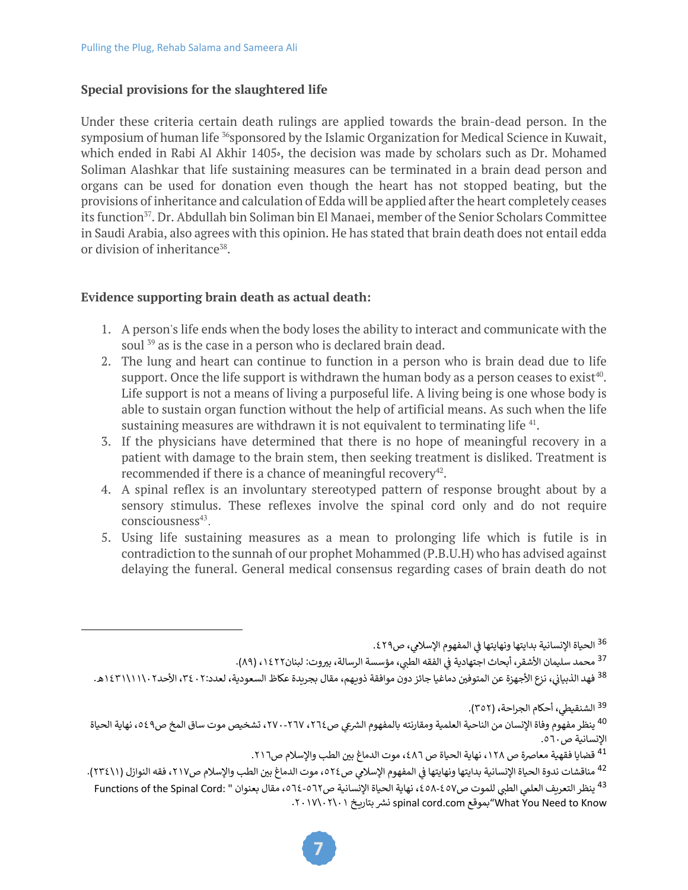#### **Special provisions for the slaughtered life**

Under these criteria certain death rulings are applied towards the brain-dead person. In the symposium of human life <sup>36</sup>sponsored by the Islamic Organization for Medical Science in Kuwait, which ended in Rabi Al Akhir 1405<sup>®</sup>, the decision was made by scholars such as Dr. Mohamed Soliman Alashkar that life sustaining measures can be terminated in a brain dead person and organs can be used for donation even though the heart has not stopped beating, but the provisions of inheritance and calculation of Edda will be applied after the heart completely ceases its function<sup>37</sup>. Dr. Abdullah bin Soliman bin El Manaei, member of the Senior Scholars Committee in Saudi Arabia, also agrees with this opinion. He has stated that brain death does not entail edda or division of inheritance<sup>38</sup>.

#### **Evidence supporting brain death as actual death:**

- 1. A person's life ends when the body loses the ability to interact and communicate with the soul <sup>39</sup> as is the case in a person who is declared brain dead.
- 2. The lung and heart can continue to function in a person who is brain dead due to life support. Once the life support is withdrawn the human body as a person ceases to exist<sup>40</sup>. Life support is not a means of living a purposeful life. A living being is one whose body is able to sustain organ function without the help of artificial means. As such when the life sustaining measures are withdrawn it is not equivalent to terminating life  $41$ .
- 3. If the physicians have determined that there is no hope of meaningful recovery in a patient with damage to the brain stem, then seeking treatment is disliked. Treatment is recommended if there is a chance of meaningful recovery $42$ .
- 4. A spinal reflex is an involuntary stereotyped pattern of response brought about by a sensory stimulus. These reflexes involve the spinal cord only and do not require  $consciousness<sup>43</sup>$ .
- 5. Using life sustaining measures as a mean to prolonging life which is futile is in contradiction to the sunnah of our prophet Mohammed (P.B.U.H) who has advised against delaying the funeral. General medical consensus regarding cases of brain death do not

ƒ<sup>36</sup> الحياة الإنسانية بدايتها ونهايتها في المفهوم الإسلا**ب**ي، ص٤٢٩.

ƒ<sup>37</sup> محمد سليمان الأشقر، أبحاث اجتهادية في الفقه الطبي، مؤسسة الرسالة، بيروت: لبنان١٤٢٢، (٨٩).

ƒ<sup>38</sup> فهد الذبياني، نزع الأجهزة عن المتوفين دماغيا جائز دون موافقة ذويهم، مقال بجريدة عكاظ السعودية، لعدد:٢ ، ٣٤، الأحد٢ ،١١١١\١٤٣١هـ.

<sup>39</sup> الشنقيطي، أحكام الجراحة، (٣٥٢).

<sup>40</sup> ينظر مفهوم وفاة الإنسان من الناحية العلمية ومقارنته بالمفهوم الشرعي ص٢٦٤، ٢٦٧، ٢٦٦، تشخيص موت ساق المخ ص٤٩، نهاية الحياة الإنسانية ص٦٠.

<sup>41</sup> قضايا فقهية معاصرة ص ١٢٨، نهاية الحياة ص ٤٨٦، موت الدماغ بين الطب والإسلام ص٢١٦.

ƒ<sup>42</sup> مناقشات ندوة الحياة الإنسانية بدايتها ونهايتها في المفهوم الإسلامي ص٢٥٢٤، موت الدماغ بين الطب والإسلام ص٢١٧، فقه النوازل (٢٣٤١١). <sup>43</sup> ينظر التعريف العلمي الطبي للموت ص٤٥٧-٤٥٨ ، نهاية الحياة الإنسانية ص٦٢-٥٦٤ ، مقال بعنوان " .Functions of the Spinal Cord .٢٠١٧\٠٢\٠١ نشر بتاريخ spinal cord.com لنقر بتاريخ ٢٠١٧\٠٢\٠٢.

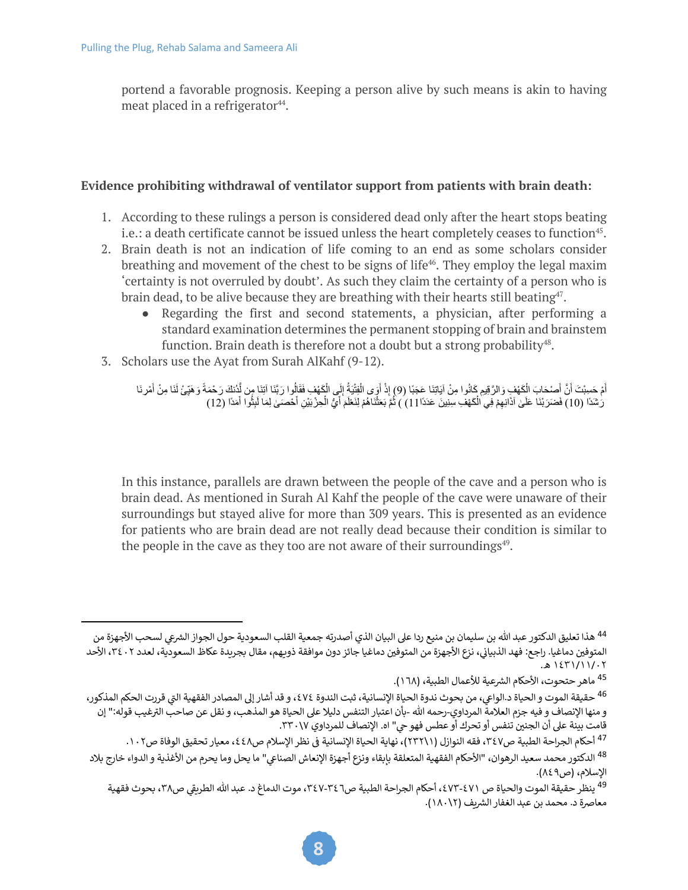portend a favorable prognosis. Keeping a person alive by such means is akin to having meat placed in a refrigerator $44$ .

#### **Evidence prohibiting withdrawal of ventilator support from patients with brain death:**

- 1. According to these rulings a person is considered dead only after the heart stops beating i.e.: a death certificate cannot be issued unless the heart completely ceases to function<sup>45</sup>.
- 2. Brain death is not an indication of life coming to an end as some scholars consider breathing and movement of the chest to be signs of life<sup>46</sup>. They employ the legal maxim 'certainty is not overruled by doubt'. As such they claim the certainty of a person who is brain dead, to be alive because they are breathing with their hearts still beating<sup>47</sup>.
	- Regarding the first and second statements, a physician, after performing a standard examination determines the permanent stopping of brain and brainstem function. Brain death is therefore not a doubt but a strong probability $48$ .
- 3. Scholars use the Ayat from Surah AlKahf (9-12).

أَمْ حَسِبْتَ أَنَّ أَصْحَابَ الْكَهْفِ وَالرَّقِيمِ كَانُوا مِنْ آيَاتِنَا عَجَبًا (9) إِذْ أَوَى الْفِتْيَةُ إِلَى الْكَهْفِ فَقَالُوا رَبَّنَا آتِنَا مِن نَّذِنَكَ رَحْمَةً وَهَبِّئُ لَنَا مِنْ أَمْرِنَا رَٰشَدًا (10) فَضَرَبْنَا عَلَىٰ آذَانِهِمْ فِي الْكَهْفِ سِنِينَ عَدَدًا 11) ) ثُمَّ بَعَثْنَاهُمْ لِنَعْلَمَ أَيُّ الْحِزْبَيْنِ أَحْصَى لِمَا لَبِثُوا أَمَدًا (12)

In this instance, parallels are drawn between the people of the cave and a person who is brain dead. As mentioned in Surah Al Kahf the people of the cave were unaware of their surroundings but stayed alive for more than 309 years. This is presented as an evidence for patients who are brain dead are not really dead because their condition is similar to the people in the cave as they too are not aware of their surroundings $49$ .

<sup>&</sup>lt;sup>44</sup> هذا تعليق الدكتور عبد الله بن سليمان بن منيع ردا على البيان الذي أصدرته جمعية القلب السعودية حول الجواز الشرعي لسحب الأجهزة من ƒالمتوفين دماغيا. راجع: فهد الذبياني، نزع الأجهزة من المتوفين دماغيا جائز دون موافقة ذويهم، مقال بجريدة عكاظ السعودية، لعدد ٢٤٠٢، الأحد ١٤٣١/١١/٠٢ هـ.

<sup>&</sup>lt;sup>45</sup> ماهر حتحوت، الأحكام الشرعية للأعمال الطبية، (١٦٨).

<sup>×</sup><sup>46</sup> حقيقة الموت و الحياة د الواعي، من بحوث ندوة الحياة الإنسانية، ثبت الندوة ٤٧٤، و قد أشار إلى المصادر الفقهية التي قررت الحكم المذكور، z و منها الإنصاف و فيه جزم العلامة المرداوي-رحمه الله -بأن اعتبار التنفس دليلا على الحياة هو المذهب، و نقل عن صاحب الترغيب قوله:" إن قامت بينة على أن الجنين تنفس أو تحرك أو عطس فهو حي" اه. الإنصاف للمرداوي ٢٣٠٠١٧.

<sup>&</sup>lt;sup>47</sup> أحكام الجراحة الطبية ص٢٤٧، فقه النوازل (٢٣٢١١)، نهاية الحياة الإنسانية في نظر الإسلام ص٤٤٨، معيار تحقيق الوفاة ص١٠٢. ƒ

<sup>&</sup>lt;sup>48</sup> الدكتور محمد سعيد الرهوان، "الأحكام الفقهية المتعلقة بإبقاء ونزع أجهزة الإنعاش الصناعي" ما يحل وما يحرم من الأغذية و الدواء خارج بلاد الإسلام، (ص٨٤٩).

<sup>&</sup>lt;sup>49</sup> ينظر حقيقة الموت والحياة ص ٤٧١-٤٧٣، أحكام الجراحة الطبية ص٣٤٦-٣٤٧، موت الدماغ د. عبد الله الطريقي ص٣٨، بحوث فقهية هعاصرة د. محمد بن عبد الغفار الشربف (١٨٠١٢).